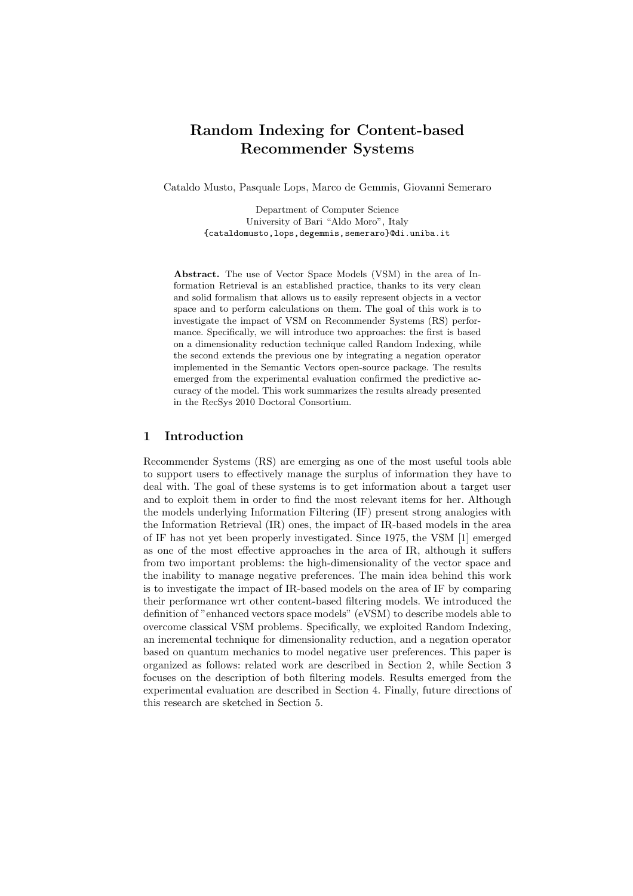# **Random Indexing for Content-based Recommender Systems**

Cataldo Musto, Pasquale Lops, Marco de Gemmis, Giovanni Semeraro

Department of Computer Science University of Bari "Aldo Moro", Italy {cataldomusto,lops,degemmis,semeraro}@di.uniba.it

**Abstract.** The use of Vector Space Models (VSM) in the area of Information Retrieval is an established practice, thanks to its very clean and solid formalism that allows us to easily represent objects in a vector space and to perform calculations on them. The goal of this work is to investigate the impact of VSM on Recommender Systems (RS) performance. Specifically, we will introduce two approaches: the first is based on a dimensionality reduction technique called Random Indexing, while the second extends the previous one by integrating a negation operator implemented in the Semantic Vectors open-source package. The results emerged from the experimental evaluation confirmed the predictive accuracy of the model. This work summarizes the results already presented in the RecSys 2010 Doctoral Consortium.

## **1 Introduction**

Recommender Systems (RS) are emerging as one of the most useful tools able to support users to effectively manage the surplus of information they have to deal with. The goal of these systems is to get information about a target user and to exploit them in order to find the most relevant items for her. Although the models underlying Information Filtering (IF) present strong analogies with the Information Retrieval (IR) ones, the impact of IR-based models in the area of IF has not yet been properly investigated. Since 1975, the VSM [1] emerged as one of the most effective approaches in the area of IR, although it suffers from two important problems: the high-dimensionality of the vector space and the inability to manage negative preferences. The main idea behind this work is to investigate the impact of IR-based models on the area of IF by comparing their performance wrt other content-based filtering models. We introduced the definition of "enhanced vectors space models" (eVSM) to describe models able to overcome classical VSM problems. Specifically, we exploited Random Indexing, an incremental technique for dimensionality reduction, and a negation operator based on quantum mechanics to model negative user preferences. This paper is organized as follows: related work are described in Section 2, while Section 3 focuses on the description of both filtering models. Results emerged from the experimental evaluation are described in Section 4. Finally, future directions of this research are sketched in Section 5.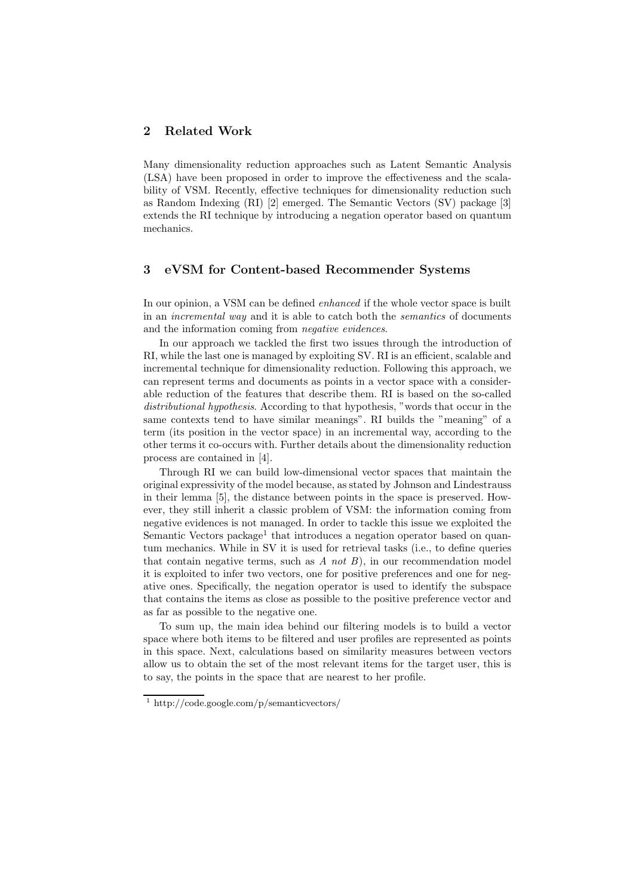## **2 Related Work**

Many dimensionality reduction approaches such as Latent Semantic Analysis (LSA) have been proposed in order to improve the effectiveness and the scalability of VSM. Recently, effective techniques for dimensionality reduction such as Random Indexing (RI) [2] emerged. The Semantic Vectors (SV) package [3] extends the RI technique by introducing a negation operator based on quantum mechanics.

## **3 eVSM for Content-based Recommender Systems**

In our opinion, a VSM can be defined *enhanced* if the whole vector space is built in an *incremental way* and it is able to catch both the *semantics* of documents and the information coming from *negative evidences*.

In our approach we tackled the first two issues through the introduction of RI, while the last one is managed by exploiting SV. RI is an efficient, scalable and incremental technique for dimensionality reduction. Following this approach, we can represent terms and documents as points in a vector space with a considerable reduction of the features that describe them. RI is based on the so-called *distributional hypothesis*. According to that hypothesis, "words that occur in the same contexts tend to have similar meanings". RI builds the "meaning" of a term (its position in the vector space) in an incremental way, according to the other terms it co-occurs with. Further details about the dimensionality reduction process are contained in [4].

Through RI we can build low-dimensional vector spaces that maintain the original expressivity of the model because, as stated by Johnson and Lindestrauss in their lemma [5], the distance between points in the space is preserved. However, they still inherit a classic problem of VSM: the information coming from negative evidences is not managed. In order to tackle this issue we exploited the Semantic Vectors package<sup>1</sup> that introduces a negation operator based on quantum mechanics. While in SV it is used for retrieval tasks (i.e., to define queries that contain negative terms, such as *A not B*), in our recommendation model it is exploited to infer two vectors, one for positive preferences and one for negative ones. Specifically, the negation operator is used to identify the subspace that contains the items as close as possible to the positive preference vector and as far as possible to the negative one.

To sum up, the main idea behind our filtering models is to build a vector space where both items to be filtered and user profiles are represented as points in this space. Next, calculations based on similarity measures between vectors allow us to obtain the set of the most relevant items for the target user, this is to say, the points in the space that are nearest to her profile.

<sup>1</sup> http://code.google.com/p/semanticvectors/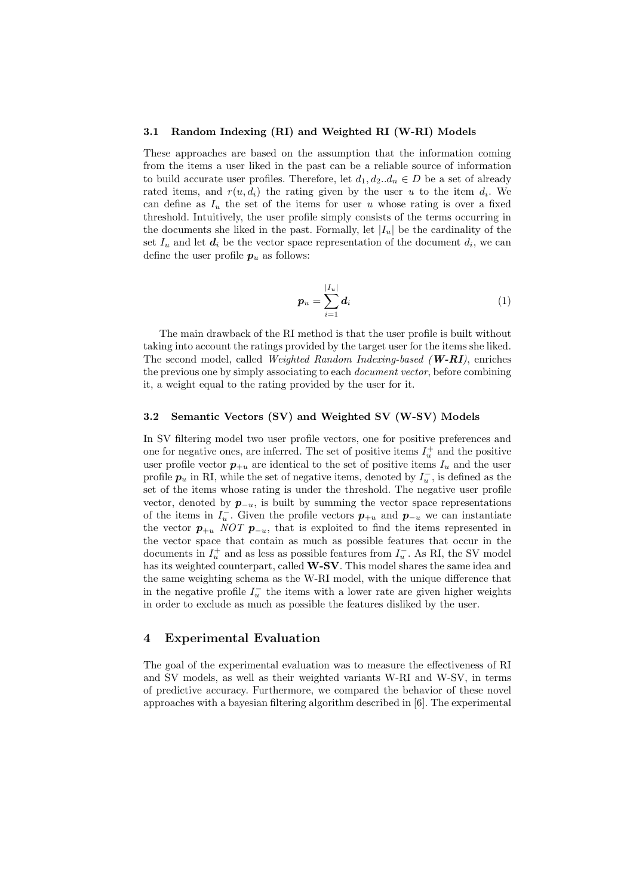#### **3.1 Random Indexing (RI) and Weighted RI (W-RI) Models**

These approaches are based on the assumption that the information coming from the items a user liked in the past can be a reliable source of information to build accurate user profiles. Therefore, let  $d_1, d_2...d_n \in D$  be a set of already rated items, and  $r(u, d_i)$  the rating given by the user *u* to the item  $d_i$ . We can define as  $I_u$  the set of the items for user *u* whose rating is over a fixed threshold. Intuitively, the user profile simply consists of the terms occurring in the documents she liked in the past. Formally, let  $|I_u|$  be the cardinality of the set  $I_u$  and let  $d_i$  be the vector space representation of the document  $d_i$ , we can define the user profile  $p_u$  as follows:

$$
p_u = \sum_{i=1}^{|I_u|} d_i \tag{1}
$$

The main drawback of the RI method is that the user profile is built without taking into account the ratings provided by the target user for the items she liked. The second model, called *Weighted Random Indexing-based (W-RI)*, enriches the previous one by simply associating to each *document vector*, before combining it, a weight equal to the rating provided by the user for it.

#### **3.2 Semantic Vectors (SV) and Weighted SV (W-SV) Models**

In SV filtering model two user profile vectors, one for positive preferences and one for negative ones, are inferred. The set of positive items  $I_u^+$  and the positive user profile vector  $p_{+u}$  are identical to the set of positive items  $I_u$  and the user profile  $p_u$  in RI, while the set of negative items, denoted by  $I_u^{\text{-}}$ , is defined as the set of the items whose rating is under the threshold. The negative user profile vector, denoted by  $p_{-u}$ , is built by summing the vector space representations of the items in  $I_u^-$ . Given the profile vectors  $p_{+u}$  and  $p_{-u}$  we can instantiate the vector  $p_{+u}$  *NOT*  $p_{-u}$ , that is exploited to find the items represented in the vector space that contain as much as possible features that occur in the documents in  $I_u^+$  and as less as possible features from  $I_u^-$ . As RI, the SV model has its weighted counterpart, called **W-SV**. This model shares the same idea and the same weighting schema as the W-RI model, with the unique difference that in the negative profile  $I_u^-$  the items with a lower rate are given higher weights in order to exclude as much as possible the features disliked by the user.

#### **4 Experimental Evaluation**

The goal of the experimental evaluation was to measure the effectiveness of RI and SV models, as well as their weighted variants W-RI and W-SV, in terms of predictive accuracy. Furthermore, we compared the behavior of these novel approaches with a bayesian filtering algorithm described in [6]. The experimental